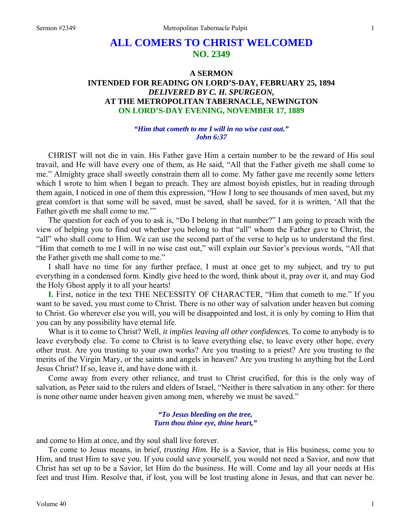# **ALL COMERS TO CHRIST WELCOMED NO. 2349**

## **A SERMON INTENDED FOR READING ON LORD'S-DAY, FEBRUARY 25, 1894**  *DELIVERED BY C. H. SPURGEON,*  **AT THE METROPOLITAN TABERNACLE, NEWINGTON ON LORD'S-DAY EVENING, NOVEMBER 17, 1889**

#### *"Him that cometh to me I will in no wise cast out." John 6:37*

CHRIST will not die in vain. His Father gave Him a certain number to be the reward of His soul travail, and He will have every one of them, as He said, "All that the Father giveth me shall come to me." Almighty grace shall sweetly constrain them all to come. My father gave me recently some letters which I wrote to him when I began to preach. They are almost boyish epistles, but in reading through them again, I noticed in one of them this expression, "How I long to see thousands of men saved, but my great comfort is that some will be saved, must be saved, shall be saved, for it is written, 'All that the Father giveth me shall come to me."

The question for each of you to ask is, "Do I belong in that number?" I am going to preach with the view of helping you to find out whether you belong to that "all" whom the Father gave to Christ, the "all" who shall come to Him. We can use the second part of the verse to help us to understand the first. "Him that cometh to me I will in no wise cast out," will explain our Savior's previous words, "All that the Father giveth me shall come to me."

I shall have no time for any further preface, I must at once get to my subject, and try to put everything in a condensed form. Kindly give heed to the word, think about it, pray over it, and may God the Holy Ghost apply it to all your hearts!

**I.** First, notice in the text THE NECESSITY OF CHARACTER, "Him that cometh to me." If you want to be saved, you must come to Christ. There is no other way of salvation under heaven but coming to Christ. Go wherever else you will, you will be disappointed and lost, it is only by coming to Him that you can by any possibility have eternal life.

What is it to come to Christ? Well, *it implies leaving all other confidences.* To come to anybody is to leave everybody else. To come to Christ is to leave everything else, to leave every other hope, every other trust. Are you trusting to your own works? Are you trusting to a priest? Are you trusting to the merits of the Virgin Mary, or the saints and angels in heaven? Are you trusting to anything but the Lord Jesus Christ? If so, leave it, and have done with it.

Come away from every other reliance, and trust to Christ crucified, for this is the only way of salvation, as Peter said to the rulers and elders of Israel, "Neither is there salvation in any other: for there is none other name under heaven given among men, whereby we must be saved."

> *"To Jesus bleeding on the tree, Turn thou thine eye, thine heart,"*

and come to Him at once, and thy soul shall live forever.

To come to Jesus means, in brief, *trusting Him.* He is a Savior, that is His business, come you to Him, and trust Him to save you. If you could save yourself, you would not need a Savior, and now that Christ has set up to be a Savior, let Him do the business. He will. Come and lay all your needs at His feet and trust Him. Resolve that, if lost, you will be lost trusting alone in Jesus, and that can never be.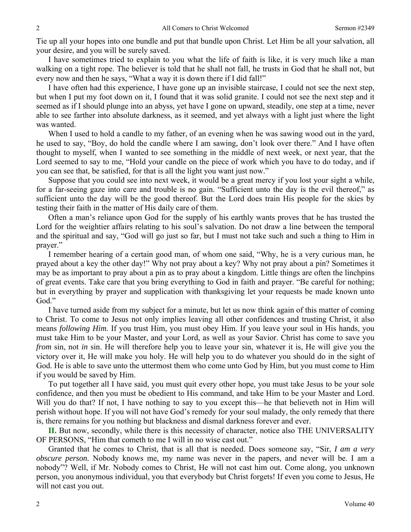Tie up all your hopes into one bundle and put that bundle upon Christ. Let Him be all your salvation, all your desire, and you will be surely saved.

I have sometimes tried to explain to you what the life of faith is like, it is very much like a man walking on a tight rope. The believer is told that he shall not fall, he trusts in God that he shall not, but every now and then he says, "What a way it is down there if I did fall!"

I have often had this experience, I have gone up an invisible staircase, I could not see the next step, but when I put my foot down on it, I found that it was solid granite. I could not see the next step and it seemed as if I should plunge into an abyss, yet have I gone on upward, steadily, one step at a time, never able to see farther into absolute darkness, as it seemed, and yet always with a light just where the light was wanted.

When I used to hold a candle to my father, of an evening when he was sawing wood out in the yard, he used to say, "Boy, do hold the candle where I am sawing, don't look over there." And I have often thought to myself, when I wanted to see something in the middle of next week, or next year, that the Lord seemed to say to me, "Hold your candle on the piece of work which you have to do today, and if you can see that, be satisfied, for that is all the light you want just now."

Suppose that you could see into next week, it would be a great mercy if you lost your sight a while, for a far-seeing gaze into care and trouble is no gain. "Sufficient unto the day is the evil thereof," as sufficient unto the day will be the good thereof. But the Lord does train His people for the skies by testing their faith in the matter of His daily care of them.

Often a man's reliance upon God for the supply of his earthly wants proves that he has trusted the Lord for the weightier affairs relating to his soul's salvation. Do not draw a line between the temporal and the spiritual and say, "God will go just so far, but I must not take such and such a thing to Him in prayer."

I remember hearing of a certain good man, of whom one said, "Why, he is a very curious man, he prayed about a key the other day!" Why not pray about a key? Why not pray about a pin? Sometimes it may be as important to pray about a pin as to pray about a kingdom. Little things are often the linchpins of great events. Take care that you bring everything to God in faith and prayer. "Be careful for nothing; but in everything by prayer and supplication with thanksgiving let your requests be made known unto God."

I have turned aside from my subject for a minute, but let us now think again of this matter of coming to Christ. To come to Jesus not only implies leaving all other confidences and trusting Christ, it also means *following Him*. If you trust Him, you must obey Him. If you leave your soul in His hands, you must take Him to be your Master, and your Lord, as well as your Savior. Christ has come to save you *from* sin, not *in* sin. He will therefore help you to leave your sin, whatever it is, He will give you the victory over it, He will make you holy. He will help you to do whatever you should do in the sight of God. He is able to save unto the uttermost them who come unto God by Him, but you must come to Him if you would be saved by Him.

To put together all I have said, you must quit every other hope, you must take Jesus to be your sole confidence, and then you must be obedient to His command, and take Him to be your Master and Lord. Will you do that? If not, I have nothing to say to you except this—he that believeth not in Him will perish without hope. If you will not have God's remedy for your soul malady, the only remedy that there is, there remains for you nothing but blackness and dismal darkness forever and ever.

**II.** But now, secondly, while there is this necessity of character, notice also THE UNIVERSALITY OF PERSONS, "Him that cometh to me I will in no wise cast out."

Granted that he comes to Christ, that is all that is needed. Does someone say, "Sir, *I am a very obscure person.* Nobody knows me, my name was never in the papers, and never will be. I am a nobody"? Well, if Mr. Nobody comes to Christ, He will not cast him out. Come along, you unknown person, you anonymous individual, you that everybody but Christ forgets! If even you come to Jesus, He will not cast you out.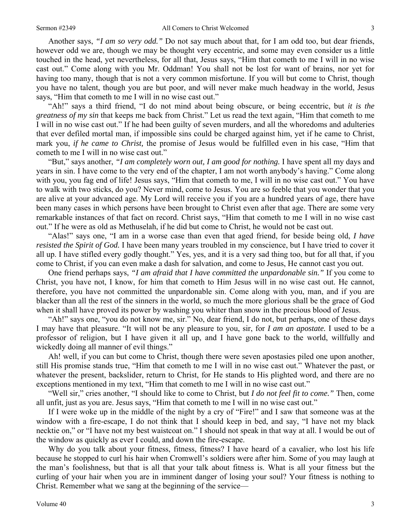Another says, *"I am so very odd."* Do not say much about that, for I am odd too, but dear friends, however odd we are, though we may be thought very eccentric, and some may even consider us a little touched in the head, yet nevertheless, for all that, Jesus says, "Him that cometh to me I will in no wise cast out." Come along with you Mr. Oddman! You shall not be lost for want of brains, nor yet for having too many, though that is not a very common misfortune. If you will but come to Christ, though you have no talent, though you are but poor, and will never make much headway in the world, Jesus says, "Him that cometh to me I will in no wise cast out."

"Ah!" says a third friend, "I do not mind about being obscure, or being eccentric, but *it is the greatness of my sin* that keeps me back from Christ." Let us read the text again, "Him that cometh to me I will in no wise cast out." If he had been guilty of seven murders, and all the whoredoms and adulteries that ever defiled mortal man, if impossible sins could be charged against him, yet if he came to Christ, mark you, *if he came to Christ,* the promise of Jesus would be fulfilled even in his case, "Him that cometh to me I will in no wise cast out."

"But," says another, *"I am completely worn out, I am good for nothing.* I have spent all my days and years in sin. I have come to the very end of the chapter, I am not worth anybody's having." Come along with you, you fag end of life! Jesus says, "Him that cometh to me, I will in no wise cast out." You have to walk with two sticks, do you? Never mind, come to Jesus. You are so feeble that you wonder that you are alive at your advanced age. My Lord will receive you if you are a hundred years of age, there have been many cases in which persons have been brought to Christ even after that age. There are some very remarkable instances of that fact on record. Christ says, "Him that cometh to me I will in no wise cast out." If he were as old as Methuselah, if he did but come to Christ, he would not be cast out.

"Alas!" says one, "I am in a worse case than even that aged friend, for beside being old, *I have resisted the Spirit of God.* I have been many years troubled in my conscience, but I have tried to cover it all up. I have stifled every godly thought." Yes, yes, and it is a very sad thing too, but for all that, if you come to Christ, if you can even make a dash for salvation, and come to Jesus, He cannot cast you out.

One friend perhaps says, *"I am afraid that I have committed the unpardonable sin."* If you come to Christ, you have not, I know, for him that cometh to Him Jesus will in no wise cast out. He cannot, therefore, you have not committed the unpardonable sin. Come along with you, man, and if you are blacker than all the rest of the sinners in the world, so much the more glorious shall be the grace of God when it shall have proved its power by washing you whiter than snow in the precious blood of Jesus.

"Ah!" says one, "you do not know me, sir." No, dear friend, I do not, but perhaps, one of these days I may have that pleasure. "It will not be any pleasure to you, sir, for *I am an apostate.* I used to be a professor of religion, but I have given it all up, and I have gone back to the world, willfully and wickedly doing all manner of evil things."

Ah! well, if you can but come to Christ, though there were seven apostasies piled one upon another, still His promise stands true, "Him that cometh to me I will in no wise cast out." Whatever the past, or whatever the present, backslider, return to Christ, for He stands to His plighted word, and there are no exceptions mentioned in my text, "Him that cometh to me I will in no wise cast out."

"Well sir," cries another, "I should like to come to Christ, but *I do not feel fit to come."* Then, come all unfit, just as you are. Jesus says, "Him that cometh to me I will in no wise cast out."

If I were woke up in the middle of the night by a cry of "Fire!" and I saw that someone was at the window with a fire-escape, I do not think that I should keep in bed, and say, "I have not my black necktie on," or "I have not my best waistcoat on." I should not speak in that way at all. I would be out of the window as quickly as ever I could, and down the fire-escape.

Why do you talk about your fitness, fitness, fitness? I have heard of a cavalier, who lost his life because he stopped to curl his hair when Cromwell's soldiers were after him. Some of you may laugh at the man's foolishness, but that is all that your talk about fitness is. What is all your fitness but the curling of your hair when you are in imminent danger of losing your soul? Your fitness is nothing to Christ. Remember what we sang at the beginning of the service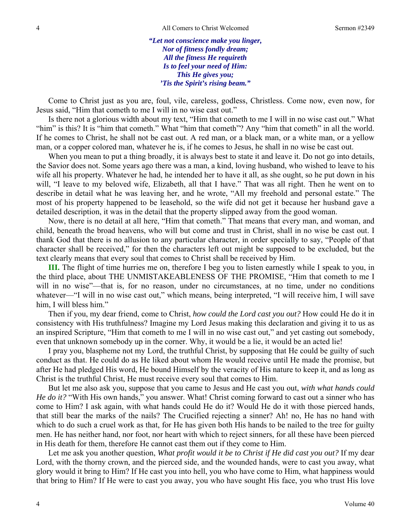*"Let not conscience make you linger, Nor of fitness fondly dream; All the fitness He requireth Is to feel your need of Him: This He gives you; 'Tis the Spirit's rising beam."* 

Come to Christ just as you are, foul, vile, careless, godless, Christless. Come now, even now, for Jesus said, "Him that cometh to me I will in no wise cast out."

Is there not a glorious width about my text, "Him that cometh to me I will in no wise cast out." What "him" is this? It is "him that cometh." What "him that cometh"? Any "him that cometh" in all the world. If he comes to Christ, he shall not be cast out. A red man, or a black man, or a white man, or a yellow man, or a copper colored man, whatever he is, if he comes to Jesus, he shall in no wise be cast out.

When you mean to put a thing broadly, it is always best to state it and leave it. Do not go into details, the Savior does not. Some years ago there was a man, a kind, loving husband, who wished to leave to his wife all his property. Whatever he had, he intended her to have it all, as she ought, so he put down in his will, "I leave to my beloved wife, Elizabeth, all that I have." That was all right. Then he went on to describe in detail what he was leaving her, and he wrote, "All my freehold and personal estate." The most of his property happened to be leasehold, so the wife did not get it because her husband gave a detailed description, it was in the detail that the property slipped away from the good woman.

Now, there is no detail at all here, "Him that cometh." That means that every man, and woman, and child, beneath the broad heavens, who will but come and trust in Christ, shall in no wise be cast out. I thank God that there is no allusion to any particular character, in order specially to say, "People of that character shall be received," for then the characters left out might be supposed to be excluded, but the text clearly means that every soul that comes to Christ shall be received by Him.

**III.** The flight of time hurries me on, therefore I beg you to listen earnestly while I speak to you, in the third place, about THE UNMISTAKEABLENESS OF THE PROMISE, "Him that cometh to me I will in no wise"—that is, for no reason, under no circumstances, at no time, under no conditions whatever—"I will in no wise cast out," which means, being interpreted, "I will receive him, I will save him. I will bless him."

Then if you, my dear friend, come to Christ, *how could the Lord cast you out?* How could He do it in consistency with His truthfulness? Imagine my Lord Jesus making this declaration and giving it to us as an inspired Scripture, "Him that cometh to me I will in no wise cast out," and yet casting out somebody, even that unknown somebody up in the corner. Why, it would be a lie, it would be an acted lie!

I pray you, blaspheme not my Lord, the truthful Christ, by supposing that He could be guilty of such conduct as that. He could do as He liked about whom He would receive until He made the promise, but after He had pledged His word, He bound Himself by the veracity of His nature to keep it, and as long as Christ is the truthful Christ, He must receive every soul that comes to Him.

But let me also ask you, suppose that you came to Jesus and He cast you out, *with what hands could He do it?* "With His own hands," you answer. What! Christ coming forward to cast out a sinner who has come to Him? I ask again, with what hands could He do it? Would He do it with those pierced hands, that still bear the marks of the nails? The Crucified rejecting a sinner? Ah! no, He has no hand with which to do such a cruel work as that, for He has given both His hands to be nailed to the tree for guilty men. He has neither hand, nor foot, nor heart with which to reject sinners, for all these have been pierced in His death for them, therefore He cannot cast them out if they come to Him.

Let me ask you another question, *What profit would it be to Christ if He did cast you out?* If my dear Lord, with the thorny crown, and the pierced side, and the wounded hands, were to cast you away, what glory would it bring to Him? If He cast you into hell, you who have come to Him, what happiness would that bring to Him? If He were to cast you away, you who have sought His face, you who trust His love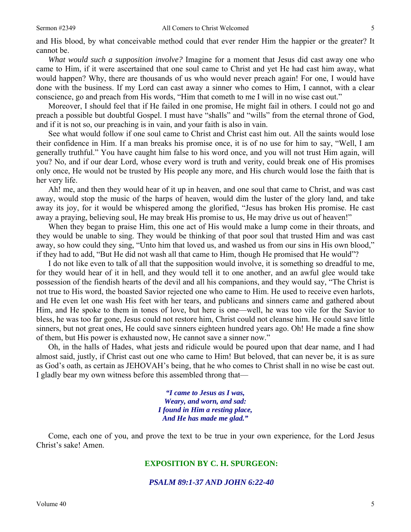*What would such a supposition involve?* Imagine for a moment that Jesus did cast away one who came to Him, if it were ascertained that one soul came to Christ and yet He had cast him away, what would happen? Why, there are thousands of us who would never preach again! For one, I would have done with the business. If my Lord can cast away a sinner who comes to Him, I cannot, with a clear conscience, go and preach from His words, "Him that cometh to me I will in no wise cast out."

Moreover, I should feel that if He failed in one promise, He might fail in others. I could not go and preach a possible but doubtful Gospel. I must have "shalls" and "wills" from the eternal throne of God, and if it is not so, our preaching is in vain, and your faith is also in vain.

See what would follow if one soul came to Christ and Christ cast him out. All the saints would lose their confidence in Him. If a man breaks his promise once, it is of no use for him to say, "Well, I am generally truthful." You have caught him false to his word once, and you will not trust Him again, will you? No, and if our dear Lord, whose every word is truth and verity, could break one of His promises only once, He would not be trusted by His people any more, and His church would lose the faith that is her very life.

Ah! me, and then they would hear of it up in heaven, and one soul that came to Christ, and was cast away, would stop the music of the harps of heaven, would dim the luster of the glory land, and take away its joy, for it would be whispered among the glorified, "Jesus has broken His promise. He cast away a praying, believing soul, He may break His promise to us, He may drive us out of heaven!"

When they began to praise Him, this one act of His would make a lump come in their throats, and they would be unable to sing. They would be thinking of that poor soul that trusted Him and was cast away, so how could they sing, "Unto him that loved us, and washed us from our sins in His own blood," if they had to add, "But He did not wash all that came to Him, though He promised that He would"?

I do not like even to talk of all that the supposition would involve, it is something so dreadful to me, for they would hear of it in hell, and they would tell it to one another, and an awful glee would take possession of the fiendish hearts of the devil and all his companions, and they would say, "The Christ is not true to His word, the boasted Savior rejected one who came to Him. He used to receive even harlots, and He even let one wash His feet with her tears, and publicans and sinners came and gathered about Him, and He spoke to them in tones of love, but here is one—well, he was too vile for the Savior to bless, he was too far gone, Jesus could not restore him, Christ could not cleanse him. He could save little sinners, but not great ones, He could save sinners eighteen hundred years ago. Oh! He made a fine show of them, but His power is exhausted now, He cannot save a sinner now."

Oh, in the halls of Hades, what jests and ridicule would be poured upon that dear name, and I had almost said, justly, if Christ cast out one who came to Him! But beloved, that can never be, it is as sure as God's oath, as certain as JEHOVAH's being, that he who comes to Christ shall in no wise be cast out. I gladly bear my own witness before this assembled throng that—

> *"I came to Jesus as I was, Weary, and worn, and sad: I found in Him a resting place, And He has made me glad."*

Come, each one of you, and prove the text to be true in your own experience, for the Lord Jesus Christ's sake! Amen.

#### **EXPOSITION BY C. H. SPURGEON:**

*PSALM 89:1-37 AND JOHN 6:22-40*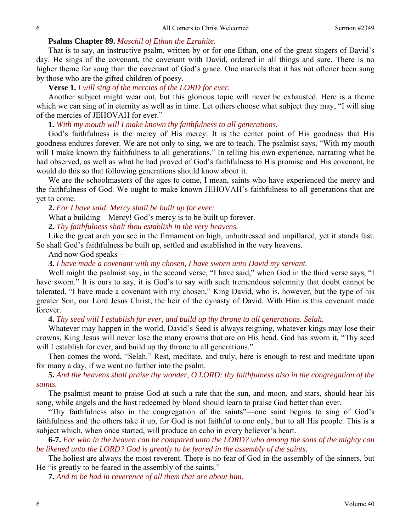#### **Psalms Chapter 89.** *Maschil of Ethan the Ezrahite.*

That is to say, an instructive psalm, written by or for one Ethan, one of the great singers of David's day. He sings of the covenant, the covenant with David, ordered in all things and sure. There is no higher theme for song than the covenant of God's grace. One marvels that it has not oftener been sung by those who are the gifted children of poesy.

**Verse 1.** *I will sing of the mercies of the LORD for ever.* 

Another subject might wear out, but this glorious topic will never be exhausted. Here is a theme which we can sing of in eternity as well as in time. Let others choose what subject they may, "I will sing of the mercies of JEHOVAH for ever."

**1.** *With my mouth will I make known thy faithfulness to all generations.* 

God's faithfulness is the mercy of His mercy. It is the center point of His goodness that His goodness endures forever. We are not only to sing, we are to teach. The psalmist says, "With my mouth will I make known thy faithfulness to all generations." In telling his own experience, narrating what he had observed, as well as what he had proved of God's faithfulness to His promise and His covenant, he would do this so that following generations should know about it.

We are the schoolmasters of the ages to come, I mean, saints who have experienced the mercy and the faithfulness of God. We ought to make known JEHOVAH's faithfulness to all generations that are yet to come.

**2.** *For I have said, Mercy shall be built up for ever:* 

What a building—Mercy! God's mercy is to be built up forever.

**2.** *Thy faithfulness shalt thou establish in the very heavens.* 

Like the great arch you see in the firmament on high, unbuttressed and unpillared, yet it stands fast. So shall God's faithfulness be built up, settled and established in the very heavens.

And now God speaks—

**3.** *I have made a covenant with my chosen, I have sworn unto David my servant.* 

Well might the psalmist say, in the second verse, "I have said," when God in the third verse says, "I have sworn." It is ours to say, it is God's to say with such tremendous solemnity that doubt cannot be tolerated. "I have made a covenant with my chosen," King David, who is, however, but the type of his greater Son, our Lord Jesus Christ, the heir of the dynasty of David. With Him is this covenant made forever.

**4.** *Thy seed will I establish for ever, and build up thy throne to all generations. Selah.* 

Whatever may happen in the world, David's Seed is always reigning, whatever kings may lose their crowns, King Jesus will never lose the many crowns that are on His head. God has sworn it, "Thy seed will I establish for ever, and build up thy throne to all generations."

Then comes the word, "Selah." Rest, meditate, and truly, here is enough to rest and meditate upon for many a day, if we went no farther into the psalm.

**5.** *And the heavens shall praise thy wonder, O LORD: thy faithfulness also in the congregation of the saints.* 

The psalmist meant to praise God at such a rate that the sun, and moon, and stars, should hear his song, while angels and the host redeemed by blood should learn to praise God better than ever.

"Thy faithfulness also in the congregation of the saints"—one saint begins to sing of God's faithfulness and the others take it up, for God is not faithful to one only, but to all His people. This is a subject which, when once started, will produce an echo in every believer's heart.

**6-7.** *For who in the heaven can be compared unto the LORD? who among the sons of the mighty can be likened unto the LORD? God is greatly to be feared in the assembly of the saints.* 

The holiest are always the most reverent. There is no fear of God in the assembly of the sinners, but He "is greatly to be feared in the assembly of the saints."

**7.** *And to be had in reverence of all them that are about him.*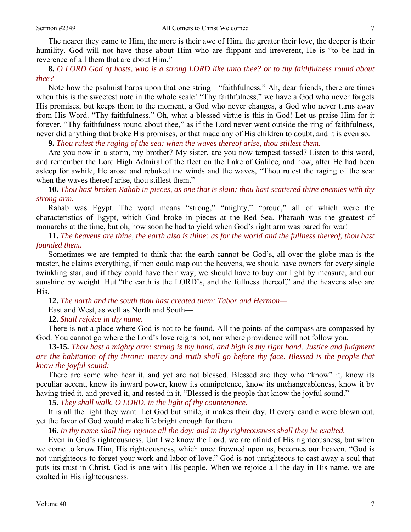The nearer they came to Him, the more is their awe of Him, the greater their love, the deeper is their humility. God will not have those about Him who are flippant and irreverent, He is "to be had in reverence of all them that are about Him."

### **8.** *O LORD God of hosts, who is a strong LORD like unto thee? or to thy faithfulness round about thee?*

Note how the psalmist harps upon that one string—"faithfulness." Ah, dear friends, there are times when this is the sweetest note in the whole scale! "Thy faithfulness," we have a God who never forgets His promises, but keeps them to the moment, a God who never changes, a God who never turns away from His Word. "Thy faithfulness." Oh, what a blessed virtue is this in God! Let us praise Him for it forever. "Thy faithfulness round about thee," as if the Lord never went outside the ring of faithfulness, never did anything that broke His promises, or that made any of His children to doubt, and it is even so.

**9.** *Thou rulest the raging of the sea: when the waves thereof arise, thou stillest them.* 

Are you now in a storm, my brother? My sister, are you now tempest tossed? Listen to this word, and remember the Lord High Admiral of the fleet on the Lake of Galilee, and how, after He had been asleep for awhile, He arose and rebuked the winds and the waves, "Thou rulest the raging of the sea: when the waves thereof arise, thou stillest them."

**10.** *Thou hast broken Rahab in pieces, as one that is slain; thou hast scattered thine enemies with thy strong arm.* 

Rahab was Egypt. The word means "strong," "mighty," "proud," all of which were the characteristics of Egypt, which God broke in pieces at the Red Sea. Pharaoh was the greatest of monarchs at the time, but oh, how soon he had to yield when God's right arm was bared for war!

**11.** *The heavens are thine, the earth also is thine: as for the world and the fullness thereof, thou hast founded them.* 

Sometimes we are tempted to think that the earth cannot be God's, all over the globe man is the master, he claims everything, if men could map out the heavens, we should have owners for every single twinkling star, and if they could have their way, we should have to buy our light by measure, and our sunshine by weight. But "the earth is the LORD's, and the fullness thereof," and the heavens also are His.

**12.** *The north and the south thou hast created them: Tabor and Hermon—* 

East and West, as well as North and South—

**12.** *Shall rejoice in thy name.* 

There is not a place where God is not to be found. All the points of the compass are compassed by God. You cannot go where the Lord's love reigns not, nor where providence will not follow you.

**13-15.** *Thou hast a mighty arm: strong is thy hand, and high is thy right hand. Justice and judgment are the habitation of thy throne: mercy and truth shall go before thy face. Blessed is the people that know the joyful sound:* 

There are some who hear it, and yet are not blessed. Blessed are they who "know" it, know its peculiar accent, know its inward power, know its omnipotence, know its unchangeableness, know it by having tried it, and proved it, and rested in it, "Blessed is the people that know the joyful sound."

**15.** *They shall walk, O LORD, in the light of thy countenance.* 

It is all the light they want. Let God but smile, it makes their day. If every candle were blown out, yet the favor of God would make life bright enough for them.

**16.** *In thy name shall they rejoice all the day: and in thy righteousness shall they be exalted.* 

Even in God's righteousness. Until we know the Lord, we are afraid of His righteousness, but when we come to know Him, His righteousness, which once frowned upon us, becomes our heaven. "God is not unrighteous to forget your work and labor of love." God is not unrighteous to cast away a soul that puts its trust in Christ. God is one with His people. When we rejoice all the day in His name, we are exalted in His righteousness.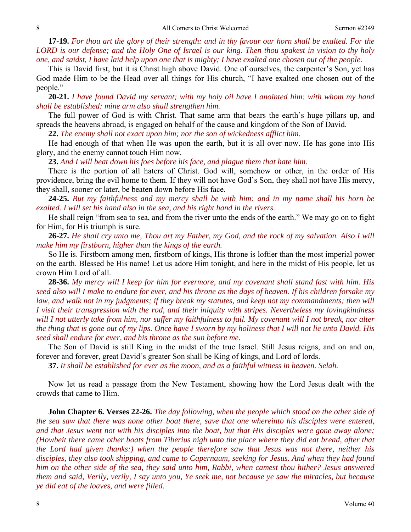**17-19.** *For thou art the glory of their strength: and in thy favour our horn shall be exalted. For the LORD is our defense; and the Holy One of Israel is our king. Then thou spakest in vision to thy holy one, and saidst, I have laid help upon one that is mighty; I have exalted one chosen out of the people.* 

This is David first, but it is Christ high above David. One of ourselves, the carpenter's Son, yet has God made Him to be the Head over all things for His church, "I have exalted one chosen out of the people."

**20-21.** *I have found David my servant; with my holy oil have I anointed him: with whom my hand shall be established: mine arm also shall strengthen him.* 

The full power of God is with Christ. That same arm that bears the earth's huge pillars up, and spreads the heavens abroad, is engaged on behalf of the cause and kingdom of the Son of David.

**22.** *The enemy shall not exact upon him; nor the son of wickedness afflict him.* 

He had enough of that when He was upon the earth, but it is all over now. He has gone into His glory, and the enemy cannot touch Him now.

**23.** *And I will beat down his foes before his face, and plague them that hate him.* 

There is the portion of all haters of Christ. God will, somehow or other, in the order of His providence, bring the evil home to them. If they will not have God's Son, they shall not have His mercy, they shall, sooner or later, be beaten down before His face.

**24-25.** *But my faithfulness and my mercy shall be with him: and in my name shall his horn be exalted. I will set his hand also in the sea, and his right hand in the rivers.* 

He shall reign "from sea to sea, and from the river unto the ends of the earth." We may go on to fight for Him, for His triumph is sure.

**26-27.** *He shall cry unto me, Thou art my Father, my God, and the rock of my salvation. Also I will make him my firstborn, higher than the kings of the earth.* 

So He is. Firstborn among men, firstborn of kings, His throne is loftier than the most imperial power on the earth. Blessed be His name! Let us adore Him tonight, and here in the midst of His people, let us crown Him Lord of all.

**28-36.** *My mercy will I keep for him for evermore, and my covenant shall stand fast with him. His seed also will I make to endure for ever, and his throne as the days of heaven. If his children forsake my law, and walk not in my judgments; if they break my statutes, and keep not my commandments; then will I visit their transgression with the rod, and their iniquity with stripes. Nevertheless my lovingkindness will I not utterly take from him, nor suffer my faithfulness to fail. My covenant will I not break, nor alter the thing that is gone out of my lips. Once have I sworn by my holiness that I will not lie unto David. His seed shall endure for ever, and his throne as the sun before me.* 

The Son of David is still King in the midst of the true Israel. Still Jesus reigns, and on and on, forever and forever, great David's greater Son shall be King of kings, and Lord of lords.

**37.** *It shall be established for ever as the moon, and as a faithful witness in heaven. Selah.* 

Now let us read a passage from the New Testament, showing how the Lord Jesus dealt with the crowds that came to Him.

**John Chapter 6. Verses 22-26.** *The day following, when the people which stood on the other side of the sea saw that there was none other boat there, save that one whereinto his disciples were entered, and that Jesus went not with his disciples into the boat, but that His disciples were gone away alone; (Howbeit there came other boats from Tiberius nigh unto the place where they did eat bread, after that the Lord had given thanks:) when the people therefore saw that Jesus was not there, neither his disciples, they also took shipping, and came to Capernaum, seeking for Jesus. And when they had found him on the other side of the sea, they said unto him, Rabbi, when camest thou hither? Jesus answered them and said, Verily, verily, I say unto you, Ye seek me, not because ye saw the miracles, but because ye did eat of the loaves, and were filled.*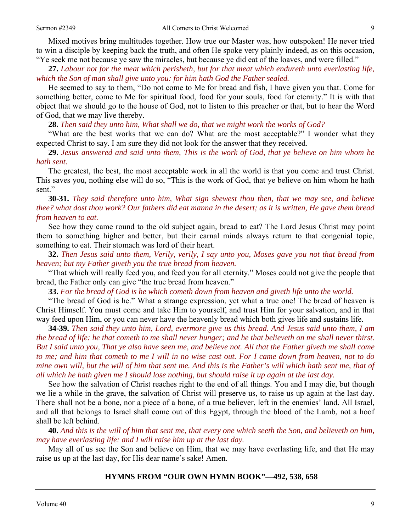Mixed motives bring multitudes together. How true our Master was, how outspoken! He never tried to win a disciple by keeping back the truth, and often He spoke very plainly indeed, as on this occasion, "Ye seek me not because ye saw the miracles, but because ye did eat of the loaves, and were filled."

**27.** *Labour not for the meat which perisheth, but for that meat which endureth unto everlasting life, which the Son of man shall give unto you: for him hath God the Father sealed.* 

He seemed to say to them, "Do not come to Me for bread and fish, I have given you that. Come for something better, come to Me for spiritual food, food for your souls, food for eternity." It is with that object that we should go to the house of God, not to listen to this preacher or that, but to hear the Word of God, that we may live thereby.

**28.** *Then said they unto him, What shall we do, that we might work the works of God?* 

"What are the best works that we can do? What are the most acceptable?" I wonder what they expected Christ to say. I am sure they did not look for the answer that they received.

**29.** *Jesus answered and said unto them, This is the work of God, that ye believe on him whom he hath sent.* 

The greatest, the best, the most acceptable work in all the world is that you come and trust Christ. This saves you, nothing else will do so, "This is the work of God, that ye believe on him whom he hath sent."

**30-31.** *They said therefore unto him, What sign shewest thou then, that we may see, and believe thee? what dost thou work? Our fathers did eat manna in the desert; as it is written, He gave them bread from heaven to eat.* 

See how they came round to the old subject again, bread to eat? The Lord Jesus Christ may point them to something higher and better, but their carnal minds always return to that congenial topic, something to eat. Their stomach was lord of their heart.

**32.** *Then Jesus said unto them, Verily, verily, I say unto you, Moses gave you not that bread from heaven; but my Father giveth you the true bread from heaven.* 

"That which will really feed you, and feed you for all eternity." Moses could not give the people that bread, the Father only can give "the true bread from heaven."

**33.** *For the bread of God is he which cometh down from heaven and giveth life unto the world.* 

"The bread of God is he." What a strange expression, yet what a true one! The bread of heaven is Christ Himself. You must come and take Him to yourself, and trust Him for your salvation, and in that way feed upon Him, or you can never have the heavenly bread which both gives life and sustains life.

**34-39.** *Then said they unto him, Lord, evermore give us this bread. And Jesus said unto them, I am the bread of life: he that cometh to me shall never hunger; and he that believeth on me shall never thirst. But I said unto you, That ye also have seen me, and believe not. All that the Father giveth me shall come to me; and him that cometh to me I will in no wise cast out. For I came down from heaven, not to do mine own will, but the will of him that sent me. And this is the Father's will which hath sent me, that of all which he hath given me I should lose nothing, but should raise it up again at the last day.* 

See how the salvation of Christ reaches right to the end of all things. You and I may die, but though we lie a while in the grave, the salvation of Christ will preserve us, to raise us up again at the last day. There shall not be a bone, nor a piece of a bone, of a true believer, left in the enemies' land. All Israel, and all that belongs to Israel shall come out of this Egypt, through the blood of the Lamb, not a hoof shall be left behind.

**40.** *And this is the will of him that sent me, that every one which seeth the Son, and believeth on him, may have everlasting life: and I will raise him up at the last day.* 

May all of us see the Son and believe on Him, that we may have everlasting life, and that He may raise us up at the last day, for His dear name's sake! Amen.

#### **HYMNS FROM "OUR OWN HYMN BOOK"—492, 538, 658**